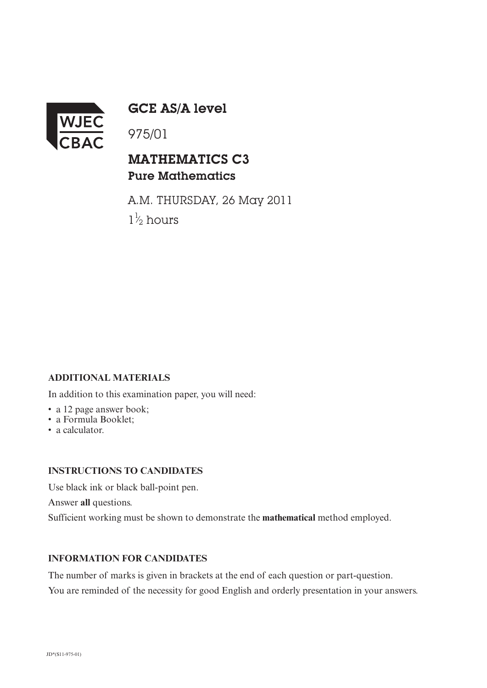

GCE AS/A level

975/01

## MATHEMATICS C3 Pure Mathematics

A.M. THURSDAY, 26 May 2011  $1\frac{1}{2}$  hours ⁄

### **ADDITIONAL MATERIALS**

In addition to this examination paper, you will need:

- a 12 page answer book;
- a Formula Booklet;
- a calculator.

#### **INSTRUCTIONS TO CANDIDATES**

Use black ink or black ball-point pen.

Answer **all** questions.

Sufficient working must be shown to demonstrate the **mathematical** method employed.

#### **INFORMATION FOR CANDIDATES**

The number of marks is given in brackets at the end of each question or part-question. You are reminded of the necessity for good English and orderly presentation in your answers.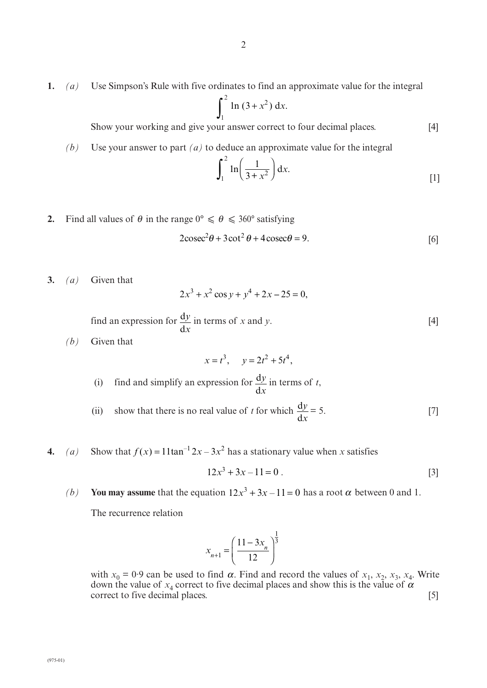**1.** *(a)* Use Simpson's Rule with five ordinates to find an approximate value for the integral

$$
\int_1^2 \ln(3+x^2) \, \mathrm{d}x.
$$

Show your working and give your answer correct to four decimal places. [4]

*(b)* Use your answer to part *(a)* to deduce an approximate value for the integral

$$
\int_{1}^{2} \ln\left(\frac{1}{3+x^{2}}\right) dx.
$$
 [1]

**2.** Find all values of  $\theta$  in the range  $0^{\circ} \le \theta \le 360^{\circ}$  satisfying

$$
2\csc^2\theta + 3\cot^2\theta + 4\csc\theta = 9.
$$
 [6]

**3.** *(a)* Given that

$$
2x^3 + x^2 \cos y + y^4 + 2x - 25 = 0,
$$

find an expression for  $\frac{dy}{dx}$  in terms of *x* and *y*. [4] d *y x*

*(b)* Given that

$$
x = t^3
$$
,  $y = 2t^2 + 5t^4$ ,

- (i) find and simplify an expression for  $\frac{dy}{dx}$  in terms of *t*, d *y x*
- (ii) show that there is no real value of *t* for which  $\frac{dy}{dx} = 5$ . [7] d *y x*
- **4.** (a) Show that  $f(x) = 11 \tan^{-1} 2x 3x^2$  has a stationary value when x satisfies

$$
12x^3 + 3x - 11 = 0
$$
 [3]

*(b)* You may assume that the equation  $12x^3 + 3x - 11 = 0$  has a root  $\alpha$  between 0 and 1.

The recurrence relation

$$
x_{n+1} = \left(\frac{11 - 3x_n}{12}\right)^{\frac{1}{3}}
$$

α with  $x_0 = 0.9$  can be used to find  $\alpha$ . Find and record the values of  $x_1$ ,  $x_2$ ,  $x_3$ ,  $x_4$ . Write down the value of  $x_4$  correct to five decimal places and show this is the value of  $\alpha$ down the value of  $x_4$  correct to five decimal places and show this is the value of correct to five decimal places. [5]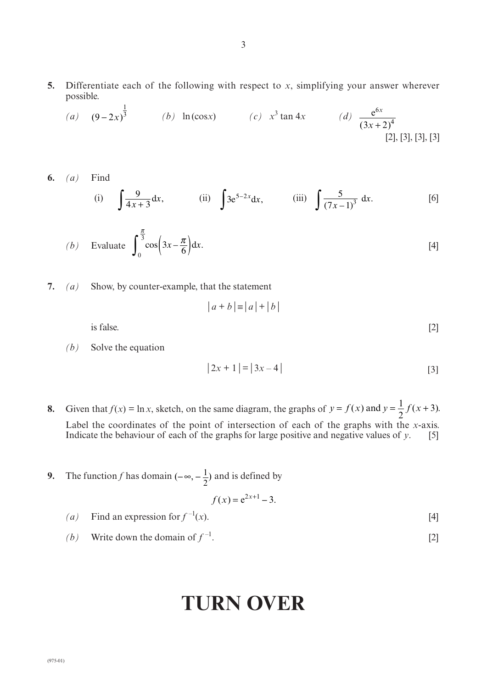**5.** Differentiate each of the following with respect to *x*, simplifying your answer wherever possible.

(a) 
$$
(9-2x)^{\frac{1}{3}}
$$
 (b)  $\ln(\cos x)$  (c)  $x^3 \tan 4x$  (d)  $\frac{e^{6x}}{(3x+2)^4}$  [2], [3], [3], [3]

**6.** *(a)* Find

(i) 
$$
\int \frac{9}{4x+3} dx
$$
, (ii)  $\int 3e^{5-2x} dx$ , (iii)  $\int \frac{5}{(7x-1)^3} dx$ . [6]

(b) Evaluate 
$$
\int_0^{\frac{\pi}{3}} \cos\left(3x - \frac{\pi}{6}\right) dx.
$$
 [4]

**7.** *(a)* Show, by counter-example, that the statement

$$
|a+b| \equiv |a| + |b|
$$

is false.  $[2]$ 

*(b)* Solve the equation

$$
|2x + 1| = |3x - 4|
$$
 [3]

- $y = f(x)$  and  $y = \frac{1}{2}f(x+3)$ . 2 8. Given that  $f(x) = \ln x$ , sketch, on the same diagram, the graphs of  $y = f(x)$  and  $y = \frac{1}{2}f(x+3)$ Label the coordinates of the point of intersection of each of the graphs with the *x*-axis.<br>Indicate the behaviour of each of the graphs for large positive and negative values of  $v$ . [5] Indicate the behaviour of each of the graphs for large positive and negative values of  $\gamma$ .
- $(-\infty, -\frac{1}{2})$ **9.** The function f has domain  $(-\infty, -\frac{1}{2})$  and is defined by

$$
f(x) = e^{2x+1} - 3.
$$

(*a*) Find an expression for  $f^{-1}(x)$ . [4]

*(b)* Write down the domain of  $f^{-1}$ . [2]

# **TURN OVER**